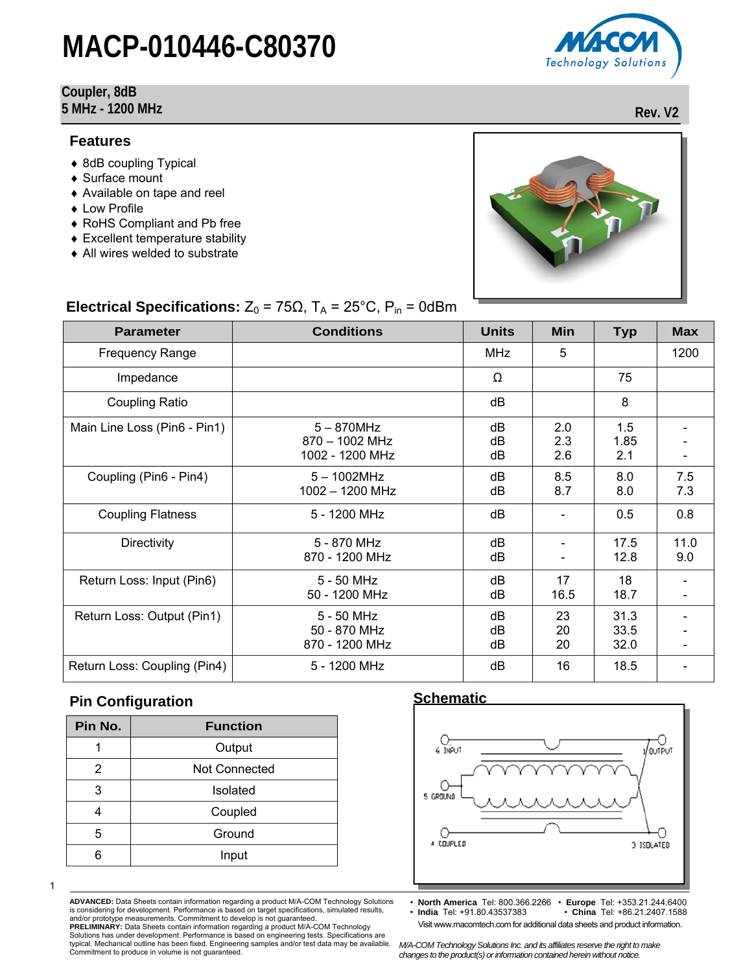**Electrical Specifications:**  $Z_0 = 75\Omega$ ,  $T_A = 25^{\circ}$ C,  $P_{in} = 0$ dBm

#### **Coupler, 8dB 5 MHz - 1200 MHz Rev. V2**

#### **Features**

- ♦ 8dB coupling Typical
- ♦ Surface mount
- ♦ Available on tape and reel
- ♦ Low Profile
- ♦ RoHS Compliant and Pb free
- ♦ Excellent temperature stability
- ♦ All wires welded to substrate

| <b>Parameter</b>             | <b>Conditions</b>                                  | <b>Units</b>   | Min               | <b>Typ</b>           | <b>Max</b>                   |
|------------------------------|----------------------------------------------------|----------------|-------------------|----------------------|------------------------------|
| <b>Frequency Range</b>       |                                                    | <b>MHz</b>     | 5                 |                      | 1200                         |
| Impedance                    |                                                    | Ω              |                   | 75                   |                              |
| Coupling Ratio               |                                                    | dB             |                   | 8                    |                              |
| Main Line Loss (Pin6 - Pin1) | $5 - 870$ MHz<br>870 - 1002 MHz<br>1002 - 1200 MHz | dB<br>dB<br>dB | 2.0<br>2.3<br>2.6 | 1.5<br>1.85<br>2.1   |                              |
| Coupling (Pin6 - Pin4)       | $5 - 1002$ MHz<br>1002 - 1200 MHz                  | dB<br>dB       | 8.5<br>8.7        | 8.0<br>8.0           | 7.5<br>7.3                   |
| <b>Coupling Flatness</b>     | 5 - 1200 MHz                                       | dB             |                   | 0.5                  | 0.8                          |
| <b>Directivity</b>           | 5 - 870 MHz<br>870 - 1200 MHz                      | dB<br>dB       |                   | 17.5<br>12.8         | 11.0<br>9.0                  |
| Return Loss: Input (Pin6)    | 5 - 50 MHz<br>50 - 1200 MHz                        | dB<br>dB       | 17<br>16.5        | 18<br>18.7           | $\qquad \qquad \blacksquare$ |
| Return Loss: Output (Pin1)   | 5 - 50 MHz<br>50 - 870 MHz<br>870 - 1200 MHz       | dB<br>dB<br>dB | 23<br>20<br>20    | 31.3<br>33.5<br>32.0 |                              |
| Return Loss: Coupling (Pin4) | 5 - 1200 MHz                                       | dB             | 16                | 18.5                 |                              |

#### **Pin Configuration**

| <b>Function</b>      |
|----------------------|
| Output               |
| <b>Not Connected</b> |
| Isolated             |
| Coupled              |
| Ground               |
| Input                |
|                      |

1

**ADVANCED:** Data Sheets contain information regarding a product M/A-COM Technology Solutions is considering for development. Performance is based on target specifications, simulated results, and/or prototype measurements. Commitment to develop is not guaranteed. **PRELIMINARY:** Data Sheets contain information regarding a product M/A-COM Technology

Solutions has under development. Performance is based on engineering tests. Specifications are typical. Mechanical outline has been fixed. Engineering samples and/or test data may be available. Commitment to produce in volume is not guaranteed.

#### **Schematic**



• **North America** Tel: 800.366.2266 • **Europe** Tel: +353.21.244.6400 • **India** Tel: +91.80.43537383 • **China** Tel: +86.21.2407.1588





Visit www.macomtech.com for additional data sheets and product information.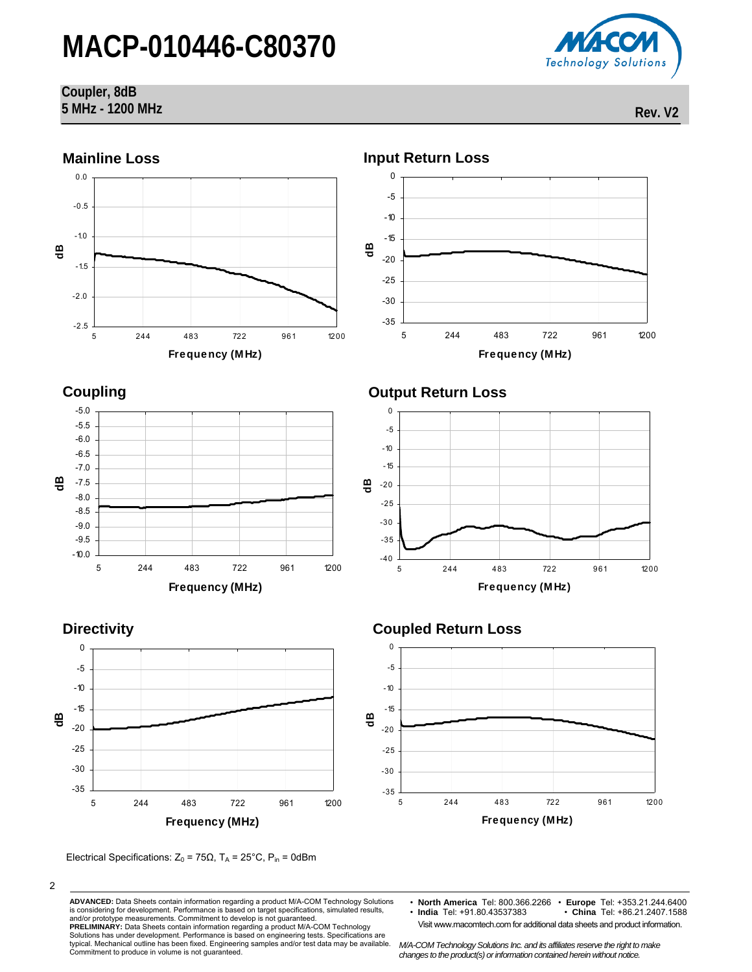

#### **Coupler, 8dB 5 MHz - 1200 MHz Rev. V2**



2

**ADVANCED:** Data Sheets contain information regarding a product M/A-COM Technology Solutions is considering for development. Performance is based on target specifications, simulated results, and/or prototype measurements. Commitment to develop is not guaranteed. **PRELIMINARY:** Data Sheets contain information regarding a product M/A-COM Technology

Solutions has under development. Performance is based on engineering tests. Specifications are typical. Mechanical outline has been fixed. Engineering samples and/or test data may be available. Commitment to produce in volume is not guaranteed.

• **North America** Tel: 800.366.2266 • **Europe** Tel: +353.21.244.6400 • **India** Tel: +91.80.43537383 • **China** Tel: +86.21.2407.1588

Visit www.macomtech.com for additional data sheets and product information.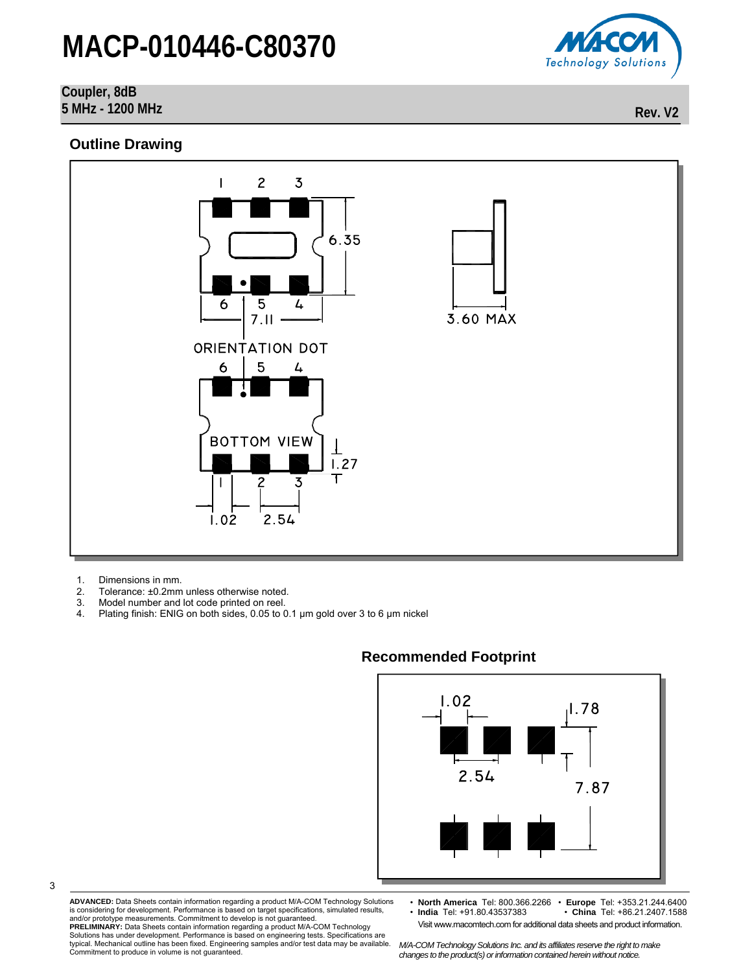### **Coupler, 8dB**

**5 MHz - 1200 MHz Rev. V2** 

#### **Outline Drawing**



1. Dimensions in mm.<br>2. Tolerance: ±0.2mm

3

- Tolerance: ±0.2mm unless otherwise noted.
- 3. Model number and lot code printed on reel.
- 4. Plating finish: ENIG on both sides, 0.05 to 0.1 µm gold over 3 to 6 µm nickel



### **Recommended Footprint**

**ADVANCED:** Data Sheets contain information regarding a product M/A-COM Technology Solutions is considering for development. Performance is based on target specifications, simulated results, and/or prototype measurements. Commitment to develop is not guaranteed. **PRELIMINARY:** Data Sheets contain information regarding a product M/A-COM Technology

• **North America** Tel: 800.366.2266 • **Europe** Tel: +353.21.244.6400 • **India** Tel: +91.80.43537383 • **China** Tel: +86.21.2407.1588 Visit www.macomtech.com for additional data sheets and product information.

Solutions has under development. Performance is based on engineering tests. Specifications are typical. Mechanical outline has been fixed. Engineering samples and/or test data may be available. Commitment to produce in volume is not guaranteed.